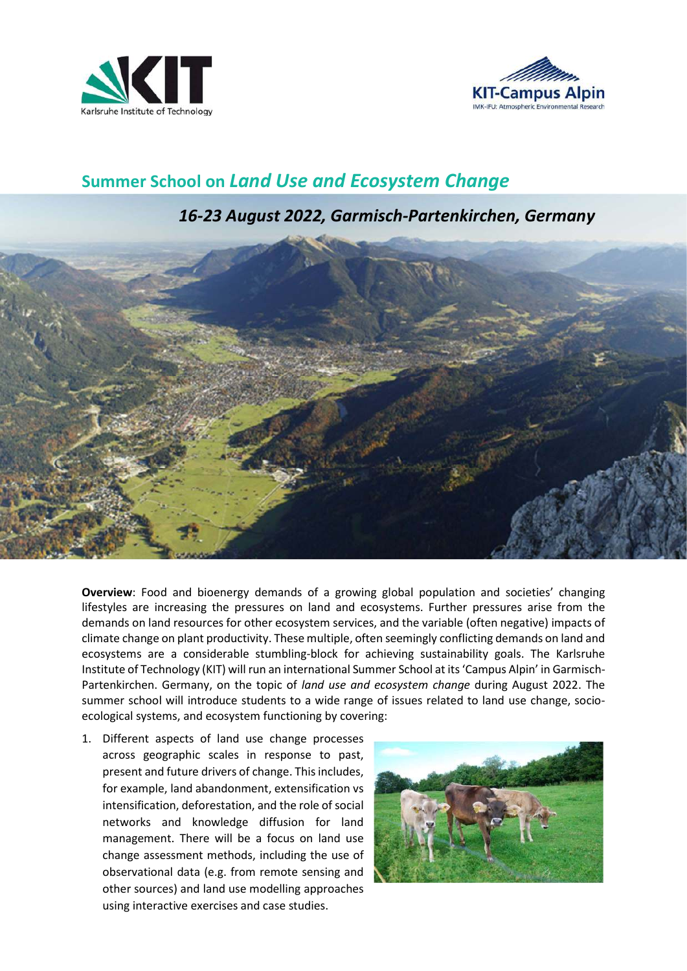



## Summer School on Land Use and Ecosystem Change

## 16-23 August 2022, Garmisch-Partenkirchen, Germany



Overview: Food and bioenergy demands of a growing global population and societies' changing lifestyles are increasing the pressures on land and ecosystems. Further pressures arise from the demands on land resources for other ecosystem services, and the variable (often negative) impacts of climate change on plant productivity. These multiple, often seemingly conflicting demands on land and ecosystems are a considerable stumbling-block for achieving sustainability goals. The Karlsruhe Institute of Technology (KIT) will run an international Summer School at its 'Campus Alpin' in Garmisch-Partenkirchen. Germany, on the topic of land use and ecosystem change during August 2022. The summer school will introduce students to a wide range of issues related to land use change, socioecological systems, and ecosystem functioning by covering:

1. Different aspects of land use change processes across geographic scales in response to past, present and future drivers of change. This includes, for example, land abandonment, extensification vs intensification, deforestation, and the role of social networks and knowledge diffusion for land management. There will be a focus on land use change assessment methods, including the use of observational data (e.g. from remote sensing and other sources) and land use modelling approaches using interactive exercises and case studies.